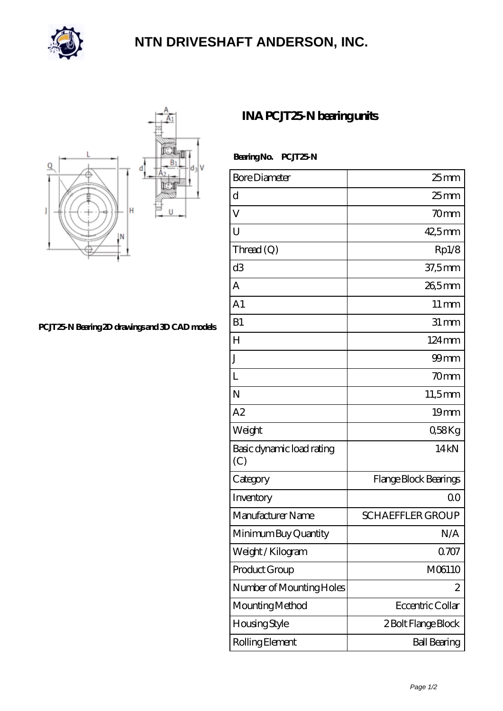

## **[NTN DRIVESHAFT ANDERSON, INC.](https://m.flash-igre.net)**



**[PCJT25-N Bearing 2D drawings and 3D CAD models](https://m.flash-igre.net/pic-436902.html)**

## **[INA PCJT25-N bearing units](https://m.flash-igre.net/am-436902-ina-pcjt25-n-bearing-units.html)**

Bearing No. **PCJT25-N** 

| <b>Bore Diameter</b>             | $25$ <sub>mm</sub>      |
|----------------------------------|-------------------------|
| d                                | $25 \text{mm}$          |
| V                                | 70mm                    |
| U                                | 42,5mm                  |
| Thread (Q)                       | Rp1/8                   |
| d3                               | $37,5$ mm               |
| А                                | 26,5mm                  |
| A <sub>1</sub>                   | $11 \,\mathrm{mm}$      |
| B1                               | $31 \,\mathrm{mm}$      |
| $H_{\rm}$                        | $124 \,\mathrm{mm}$     |
| J                                | $99$ mm                 |
| L                                | 70mm                    |
| N                                | 11,5mm                  |
| A2                               | 19 <sub>mm</sub>        |
| Weight                           | Q58Kg                   |
| Basic dynamic load rating<br>(C) | 14 <sub>kN</sub>        |
| Category                         | Flange Block Bearings   |
| Inventory                        | Q0                      |
| Manufacturer Name                | <b>SCHAEFFLER GROUP</b> |
| Minimum Buy Quantity             | N/A                     |
| Weight /Kilogram                 | 0707                    |
| Product Group                    | M06110                  |
| Number of Mounting Holes         | 2                       |
| Mounting Method                  | Eccentric Collar        |
| Housing Style                    | 2 Bolt Flange Block     |
| Rolling Element                  | <b>Ball Bearing</b>     |